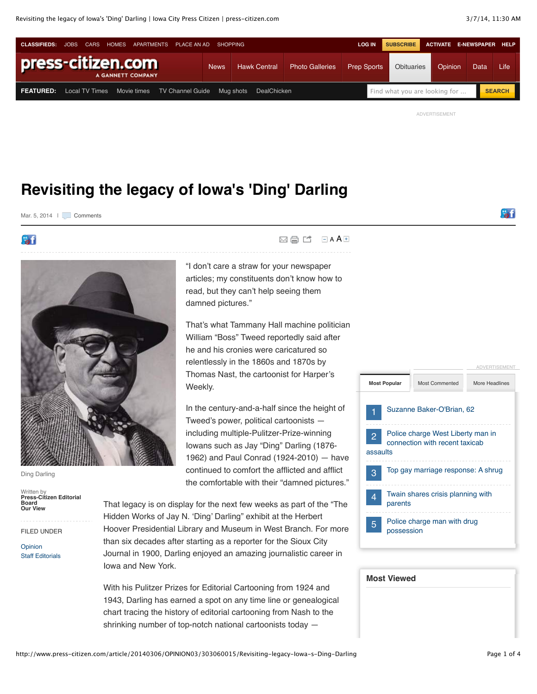

ADVERTISEMENT

### **Revisiting the legacy of Iowa's 'Ding' Darling**

Mar. 5, 2014 | [Comments](http://www.press-citizen.com/comments/article/20140306/OPINION03/303060015/Revisiting-legacy-Iowa-s-Ding-Darling)

**Bart** 



Ding Darling

Written by **Press-Citizen Editorial Board Our View**

#### FILED UNDER

[Opinion](http://www.press-citizen.com/section/OPINION) [Staff Editorials](http://www.press-citizen.com/section/OPINION03)  $\boxtimes$   $\boxminus$   $\blacksquare$   $\blacksquare$   $\blacksquare$   $\blacktriangle$   $\blacktriangle$ 

"I don't care a straw for your newspaper articles; my constituents don't know how to read, but they can't help seeing them damned pictures."

That's what Tammany Hall machine politician William "Boss" Tweed reportedly said after he and his cronies were caricatured so relentlessly in the 1860s and 1870s by Thomas Nast, the cartoonist for Harper's Weekly.

In the century-and-a-half since the height of Tweed's power, political cartoonists including multiple-Pulitzer-Prize-winning Iowans such as Jay "Ding" Darling (1876- 1962) and Paul Conrad (1924-2010) — have continued to comfort the afflicted and afflict the comfortable with their "damned pictures."

That legacy is on display for the next few weeks as part of the "The Hidden Works of Jay N. 'Ding' Darling" exhibit at the Herbert Hoover Presidential Library and Museum in West Branch. For more than six decades after starting as a reporter for the Sioux City Journal in 1900, Darling enjoyed an amazing journalistic career in Iowa and New York.

With his Pulitzer Prizes for Editorial Cartooning from 1924 and 1943, Darling has earned a spot on any time line or genealogical chart tracing the history of editorial cartooning from Nash to the shrinking number of top-notch national cartoonists today —



| <b>Most Viewed</b> |  |  |  |  |  |
|--------------------|--|--|--|--|--|
|                    |  |  |  |  |  |
|                    |  |  |  |  |  |
|                    |  |  |  |  |  |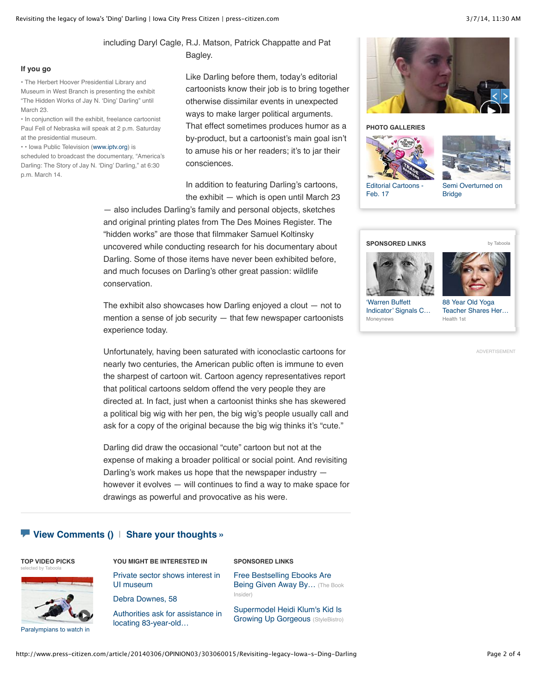### including Daryl Cagle, R.J. Matson, Patrick Chappatte and Pat Bagley.

#### **If you go**

• The Herbert Hoover Presidential Library and Museum in West Branch is presenting the exhibit "The Hidden Works of Jay N. 'Ding' Darling" until March 23.

• In conjunction will the exhibit, freelance cartoonist Paul Fell of Nebraska will speak at 2 p.m. Saturday at the presidential museum.

• • Iowa Public Television [\(www.iptv.org\)](http://www.iptv.org/) is

scheduled to broadcast the documentary, "America's Darling: The Story of Jay N. 'Ding' Darling," at 6:30 p.m. March 14.

Like Darling before them, today's editorial cartoonists know their job is to bring together otherwise dissimilar events in unexpected ways to make larger political arguments. That effect sometimes produces humor as a by-product, but a cartoonist's main goal isn't to amuse his or her readers; it's to jar their consciences.

In addition to featuring Darling's cartoons, the exhibit — which is open until March 23

— also includes Darling's family and personal objects, sketches and original printing plates from The Des Moines Register. The "hidden works" are those that filmmaker Samuel Koltinsky uncovered while conducting research for his documentary about Darling. Some of those items have never been exhibited before, and much focuses on Darling's other great passion: wildlife conservation.

The exhibit also showcases how Darling enjoyed a clout — not to mention a sense of job security — that few newspaper cartoonists experience today.

Unfortunately, having been saturated with iconoclastic cartoons for nearly two centuries, the American public often is immune to even the sharpest of cartoon wit. Cartoon agency representatives report that political cartoons seldom offend the very people they are directed at. In fact, just when a cartoonist thinks she has skewered a political big wig with her pen, the big wig's people usually call and ask for a copy of the original because the big wig thinks it's "cute."

Darling did draw the occasional "cute" cartoon but not at the expense of making a broader political or social point. And revisiting Darling's work makes us hope that the newspaper industry however it evolves — will continues to find a way to make space for drawings as powerful and provocative as his were.

#### **[View Comments](http://www.press-citizen.com/comments/article/20140306/OPINION03/303060015/Revisiting-legacy-Iowa-s-Ding-Darling) ()** | **[Share your thoughts »](http://www.press-citizen.com/comments/article/20140306/OPINION03/303060015/Revisiting-legacy-Iowa-s-Ding-Darling)**

#### **TOP VIDEO PICKS** [selected by Taboola](http://www.taboola.com/en/popup?template=colorbox&taboola_utm_source=gannett-iowacitypress-citizen&taboola_utm_medium=bytaboola&taboola_utm_content=story-leftcolumn:story-leftcolumn:)



[Paralympians to watch in](http://www.press-citizen.com/videonetwork/3303795996001?odyssey=mod%7Ctvideo%7Carticle)

#### **YOU MIGHT BE INTERESTED IN**

[Private sector shows interest in](http://www.press-citizen.com/article/20140306/NEWS01/303060039/Private-sector-shows-interest-UI-museum) UI museum

[Debra Downes, 58](http://www.press-citizen.com/article/20140226/NEWS02/302260019/Debra-Downes-58) [Authorities ask for assistance in](http://www.press-citizen.com/article/20140305/NEWS01/140305003/Authorities-ask-assistance-locating-83-year-old-man-reported-missing-from-Iowa-City-area)

locating 83-year-old…

#### **SPONSORED LINKS**

[Free Bestselling Ebooks Are](http://thebookinsider.com/publishers-giving-bestselling-ebooks-away/) Being Given Away By... (The Book Insider)

[Supermodel Heidi Klum's Kid Is](http://www.stylebistro.com/Supermodels+with+Their+Babies/articles/278aJc27L4c/Heidi+Klum+and+Daughter+Lou) Growing Up Gorgeous (StyleBistro)



#### **PHOTO GALLERIES**





[Editorial Cartoons -](http://www.press-citizen.com/apps/pbcs.dll/gallery?Avis=D5&Dato=20140217&Kategori=OPINION03&Lopenr=402170803&Ref=PH) Feb. 17

[Semi Overturned on](http://www.press-citizen.com/apps/pbcs.dll/gallery?Avis=D5&Dato=20140303&Kategori=NEWS&Lopenr=303002&Ref=PH) Bridge

#### **SPONSORED LINKS** [by Taboola](http://www.taboola.com/en/popup?template=colorbox&taboola_utm_source=gannett-iowacitypress-citizen&taboola_utm_medium=bytaboola&taboola_utm_content=article-column-c-new-google:article-column-c-new-google:)





'Warren Buffett Indicator' Signals C... Moneynews

88 Year Old Yoga [Teacher Shares Her…](http://health1st.com/2013/11/1-yoga-instructors-secret-behind-limitless-energy/?utm_source=taboola&utm_medium=gannett-iowacitypress-citizen) Health 1st

ADVERTISEMENT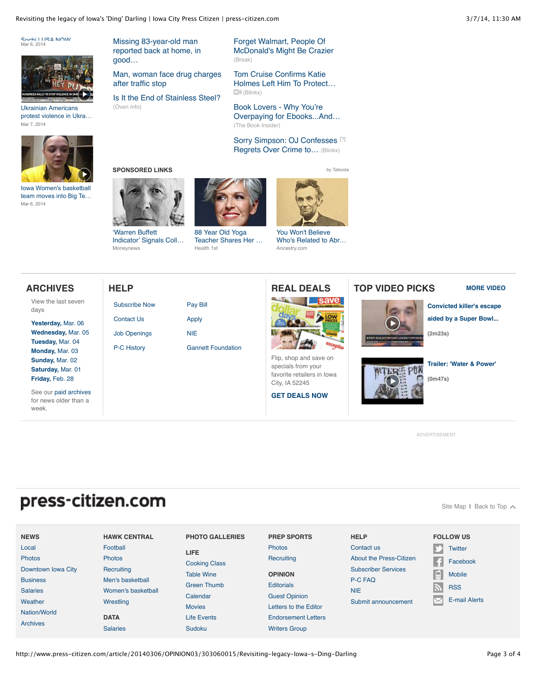Revisiting the legacy of Iowa's 'Ding' Darling | Iowa City Press Citizen | press-citizen.com 3/7/14, 11:30 AM

'Warren Buffett [Indicator' Signals Coll…](http://www.moneynews.com/MKTNews/Stock-market-recession-alert/2014/02/03/id/550641/?promo_code=16610-1&utm_source=taboola&utm_medium=referral)

[Subscribe Now](http://www.press-citizen.com/subscribe) [Contact Us](http://www.press-citizen.com/apps/pbcs.dll/article?AID=/99999999/ABOUTUS/40723005) [Job Openings](http://www.careerbuilder.com/JobSeeker/Companies/CompanyJobResults.aspx?Comp_DID=C32V4790ZWZGG9R13F&lr=cbga_icp&cbRecursionCnt=1&cbsid=066bdfc4b3974bbebd63aab56e563ee7-263930399-RC-4) [P-C History](http://www.press-citizen.com/apps/pbcs.dll/article?AID=/99999999/ABOUTUS/40723008)

Moneynews

Sochi | I ISA NOW<br>Mar 6, 2014



Ukrainian Americans [protest violence in Ukra…](http://www.press-citizen.com/videonetwork/3307102401001?odyssey=mod%7Ctvideo%7Carticle) Mar 7, 2014



Iowa Women's basketball [team moves into Big Te…](http://www.press-citizen.com/videonetwork/3304499191001?odyssey=mod%7Ctvideo%7Carticle) Mar 6, 2014

**ARCHIVES** View the last seven

**[Yesterday,](http://www.press-citizen.com/section/archive&archivedate=20140306)** Mar. 06 **[Wednesday,](http://www.press-citizen.com/section/archive&archivedate=20140305)** Mar. 05 **[Tuesday,](http://www.press-citizen.com/section/archive&archivedate=20140304)** Mar. 04 **[Monday,](http://www.press-citizen.com/section/archive&archivedate=20140303)** Mar. 03 **[Sunday,](http://www.press-citizen.com/section/archive&archivedate=20140302)** Mar. 02 **[Saturday,](http://www.press-citizen.com/section/archive&archivedate=20140301)** Mar. 01 **[Friday,](http://www.press-citizen.com/section/archive&archivedate=20140228)** Feb. 28 See our [paid archives](http://pqasb.pqarchiver.com/press_citizen/advancedsearch.html) for news older than a

days

week.

Missing 83-year-old man [reported back at home, in](http://www.press-citizen.com/article/20140306/NEWS01/140306002/Missing-83-year-old-man-reported-back-home-good-health) good…

[Man, woman face drug charges](http://www.press-citizen.com/article/20140228/NEWS01/302280024/Man-woman-face-drug-charges-after-traffic-stop) after traffic stop

[Is It the End of Stainless Steel?](http://www.oveninfo.com/features/is-stainless-still-king-of-the-kitchen.ht?u) (Oven Info)

Forget Walmart, People Of [McDonald's Might Be Crazier](http://www.break.com/pictures/people-of-mcdonalds-back-of-head-face-2444260) (Break)

Tom Cruise Confirms Katie [Holmes Left Him To Protect…](http://www.blinkx.com/ce/QaQjhldSK-GqD4ero4FLnviwUWFRamhsZFNLLUdxRDRlcm80Rkxudml3UWFRamhsZFNLLUdxRDR) (Blinkx)

Book Lovers - Why You're [Overpaying for Ebooks...And…](http://thebookinsider.com/people-overpaying-ebooks-pay-less/) (The Book Insider)

[Sorry Simpson: OJ Confesses](http://www.blinkx.com/ce/qaQBjK_CJyGuyve3bvKPW_ygcWFRQmpLX0NKeUd1eXZlM2J2S1BXX3lncWFRQmpLX0NKeUd1eXZ)<sup>[\[?\]](http://www.press-citizen.com/article/20140306/OPINION03/303060015/Revisiting-legacy-Iowa-s-Ding-Darling#)</sup> Regrets Over Crime to... (Blinkx)

**SPONSORED LINKS** [by Taboola](http://www.taboola.com/en/popup?template=colorbox&taboola_utm_source=gannett-iowacitypress-citizen&taboola_utm_medium=bytaboola&taboola_utm_content=story-bannerad:story-bannerad:)



88 Year Old Yoga [Teacher Shares Her …](http://health1st.com/2013/11/1-yoga-instructors-secret-behind-limitless-energy/?utm_source=taboola&utm_medium=gannett-iowacitypress-citizen) Health 1st

[Pay Bill](http://www.press-citizen.com/apps/pbcs.dll/article?AID=/99999999/ABOUTUS/40726003) [Apply](http://www.press-citizen.com/apps/pbcs.dll/article?AID=/99999999/ABOUTUS/40723007) [NIE](http://www.press-citizen.com/apps/pbcs.dll/article?AID=/99999999/ABOUTUS/40723009)

[Gannett Foundation](http://www.press-citizen.com/apps/pbcs.dll/article?AID=/99999999/ABOUTUS/40723010)

**HELP REAL DEALS**



You Won't Believe [Who's Related to Abr…](http://www.ancestry.com/s56491/t27852/rd.ashx) Ancestry.com

Flip, shop and save on specials from your favorite retailers in Iowa City, IA 52245 **[GET DEALS NOW](http://iowacity.findnsave.com/)**

#### **TOP VIDEO PICKS [MORE VIDEO](http://www.press-citizen.com/section/videonetwork?odyssey=mod%7Cvideo%7Cnews)**



[Site Map](http://www.press-citizen.com/section/sitemaphtml) I [Back to Top](http://www.press-citizen.com/article/20140306/OPINION03/303060015/Revisiting-legacy-Iowa-s-Ding-Darling#top)  $\sim$ 

**[Convicted killer's escape](http://www.press-citizen.com/VideoNetwork/3308334332001/Convicted-killer-s-escape-aided-by-a-Super-Bowl-potluck) aided by a Super Bowl...**

# **(2m23s)**

**[Trailer: 'Water & Power'](http://www.press-citizen.com/VideoNetwork/3308316434001/Trailer-Water-Power-)**

**(0m47s)**

ADVERTISEMENT

## press-citizen.com

**FOLLOW US [NEWS](http://www.press-citizen.com/news) [HAWK CENTRAL](http://hawkcentral.com/) [PHOTO GALLERIES](http://www.press-citizen.com/section/galleriessectionfront?odyssey=mod%7Cgalleriespic%7Cumbrella) [PREP SPORTS](http://www.press-citizen.com/sports) [HELP](http://www.press-citizen.com/help)** [Local](http://www.press-citizen.com/news) [Football](http://hawkcentral.com/category/iowa-football/) [Photos](http://www.press-citizen.com/photos) [Contact us](http://www.press-citizen.com/section/help&tab=contact) **[Twitter](http://www.press-citizen.com/twitter) [LIFE](http://www.press-citizen.com/entertainment)** [Photos](http://www.press-citizen.com/photos) [Photos](http://hawkcentral.com/category/hawkeye-photos/) [About the Press-Citizen](http://www.press-citizen.com/section/help&tab=about) **[Recruiting](http://www.press-citizen.com/recruits)** [Facebook](http://www.press-citizen.com/facebook) [Cooking Class](http://www.press-citizen.com/cookingclass) [Downtown Iowa City](http://www.press-citizen.com/downtown) **[Recruiting](http://hawkcentral.com/tag/recruiting/)** [Subscriber Services](http://www.press-citizen.com/section/help&tab=subscriber) [Table Wine](http://www.press-citizen.com/tablewine) **[OPINION](http://www.press-citizen.com/opinion)** [Mobile](http://www.press-citizen.com/mobile) [P-C FAQ](http://www.press-citizen.com/faq) **[Business](http://www.press-citizen.com/business)** [Men's basketball](http://hawkcentral.com/category/iowa-mens-basketball/) [Green Thumb](http://www.press-citizen.com/greenthumb) **[Editorials](http://www.press-citizen.com/pceditorials)**  $\mathbb{Z}$ [RSS](http://www.press-citizen.com/rss) [Salaries](http://www.press-citizen.com/datacenter) [Women's basketball](http://hawkcentral.com/category/iowa-womens-basketball/) [NIE](http://www.press-citizen.com/article/99999999/ABOUTUS/40723009) [Calendar](http://www.press-citizen.com/calendar) [Guest Opinion](http://www.press-citizen.com/guestopinion) [E-mail Alerts](http://www.press-citizen.com/section/nlettersubscribe)**[Weather](http://www.press-citizen.com/weather) [Wrestling](http://hawkcentral.com/category/hawkeye-wrestling/)** [Submit announcement](http://www.press-citizen.com/announcements) [Movies](http://www.press-citizen.com/movies) [Letters to the Editor](http://www.press-citizen.com/letters) [Nation/World](http://www.press-citizen.com/section/nationworld) **[DATA](http://www.press-citizen.com/datacenter)** [Life Events](http://www.press-citizen.com/lifeevents) [Endorsement Letters](http://www.press-citizen.com/section/opinion07) [Archives](http://www.press-citizen.com/section/archive) **[Salaries](http://www.press-citizen.com/salaries)** [Sudoku](http://www.press-citizen.com/sudoku) [Writers Group](http://www.press-citizen.com/writersgroup)